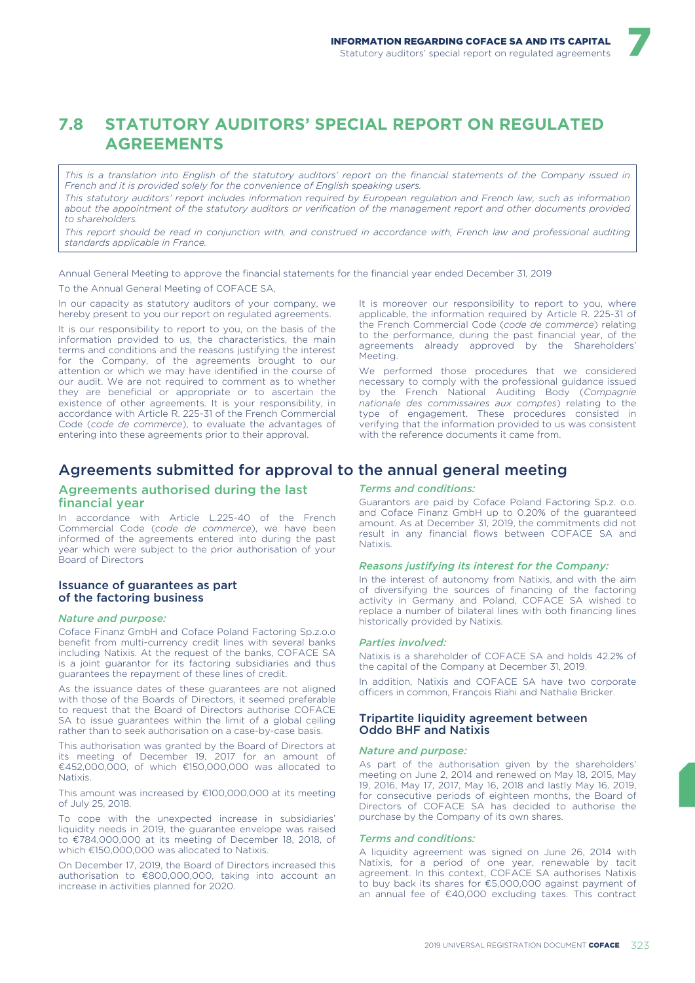7

# **7.8 STATUTORY AUDITORS' SPECIAL REPORT ON REGULATED AGREEMENTS**

*This is a translation into English of the statutory auditors' report on the financial statements of the Company issued in French and it is provided solely for the convenience of English speaking users.*

*This statutory auditors' report includes information required by European regulation and French law, such as information about the appointment of the statutory auditors or verification of the management report and other documents provided to shareholders.*

*This report should be read in conjunction with, and construed in accordance with, French law and professional auditing standards applicable in France.*

Annual General Meeting to approve the financial statements for the financial year ended December 31, 2019 To the Annual General Meeting of COFACE SA,

In our capacity as statutory auditors of your company, we hereby present to you our report on regulated agreements.

It is our responsibility to report to you, on the basis of the information provided to us, the characteristics, the main terms and conditions and the reasons justifying the interest for the Company, of the agreements brought to our attention or which we may have identified in the course of our audit. We are not required to comment as to whether they are beneficial or appropriate or to ascertain the existence of other agreements. It is your responsibility, in accordance with Article R. 225-31 of the French Commercial Code (*code de commerce*), to evaluate the advantages of entering into these agreements prior to their approval.

It is moreover our responsibility to report to you, where applicable, the information required by Article R. 225-31 of the French Commercial Code (*code de commerce*) relating to the performance, during the past financial year, of the agreements already approved by the Shareholders' Meeting.

We performed those procedures that we considered necessary to comply with the professional guidance issued by the French National Auditing Body (*Compagnie nationale des commissaires aux comptes*) relating to the type of engagement. These procedures consisted in verifying that the information provided to us was consistent with the reference documents it came from.

# Agreements submitted for approval to the annual general meeting

## Agreements authorised during the last financial year

In accordance with Article L.225-40 of the French Commercial Code (*code de commerce*), we have been informed of the agreements entered into during the past year which were subject to the prior authorisation of your Board of Directors

## Issuance of guarantees as part of the factoring business

## *Nature and purpose:*

Coface Finanz GmbH and Coface Poland Factoring Sp.z.o.o benefit from multi-currency credit lines with several banks including Natixis. At the request of the banks, COFACE SA is a joint guarantor for its factoring subsidiaries and thus guarantees the repayment of these lines of credit.

As the issuance dates of these guarantees are not aligned with those of the Boards of Directors, it seemed preferable to request that the Board of Directors authorise COFACE SA to issue guarantees within the limit of a global ceiling rather than to seek authorisation on a case-by-case basis.

This authorisation was granted by the Board of Directors at its meeting of December 19, 2017 for an amount of €452,000,000, of which €150,000,000 was allocated to Natixis.

This amount was increased by €100,000,000 at its meeting of July 25, 2018.

To cope with the unexpected increase in subsidiaries' liquidity needs in 2019, the guarantee envelope was raised to €784,000,000 at its meeting of December 18, 2018, of which €150,000,000 was allocated to Natixis.

On December 17, 2019, the Board of Directors increased this authorisation to €800,000,000, taking into account an increase in activities planned for 2020.

## *Terms and conditions:*

Guarantors are paid by Coface Poland Factoring Sp.z. o.o. and Coface Finanz GmbH up to 0.20% of the guaranteed amount. As at December 31, 2019, the commitments did not result in any financial flows between COFACE SA and Natixis.

### *Reasons justifying its interest for the Company:*

In the interest of autonomy from Natixis, and with the aim of diversifying the sources of financing of the factoring activity in Germany and Poland, COFACE SA wished to replace a number of bilateral lines with both financing lines historically provided by Natixis.

#### *Parties involved:*

Natixis is a shareholder of COFACE SA and holds 42.2% of the capital of the Company at December 31, 2019.

In addition, Natixis and COFACE SA have two corporate officers in common, François Riahi and Nathalie Bricker.

## Tripartite liquidity agreement between Oddo BHF and Natixis

#### *Nature and purpose:*

As part of the authorisation given by the shareholders' meeting on June 2, 2014 and renewed on May 18, 2015, May 19, 2016, May 17, 2017, May 16, 2018 and lastly May 16, 2019, for consecutive periods of eighteen months, the Board of Directors of COFACE SA has decided to authorise the purchase by the Company of its own shares.

## *Terms and conditions:*

A liquidity agreement was signed on June 26, 2014 with Natixis, for a period of one year, renewable by tacit agreement. In this context, COFACE SA authorises Natixis to buy back its shares for €5,000,000 against payment of an annual fee of €40,000 excluding taxes. This contract